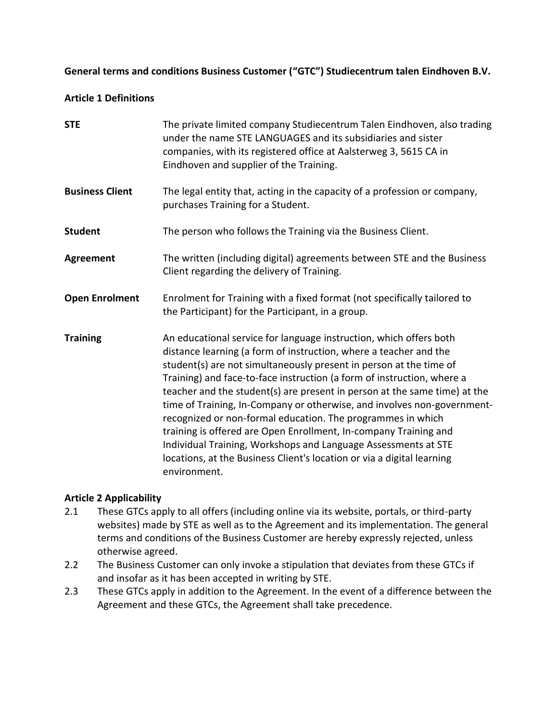#### **General terms and conditions Business Customer ("GTC") Studiecentrum talen Eindhoven B.V.**

#### **Article 1 Definitions**

| <b>STE</b>             | The private limited company Studiecentrum Talen Eindhoven, also trading<br>under the name STE LANGUAGES and its subsidiaries and sister<br>companies, with its registered office at Aalsterweg 3, 5615 CA in<br>Eindhoven and supplier of the Training.                                                                                                                                                                                                                                                                                                                                                                                                                                                                                        |
|------------------------|------------------------------------------------------------------------------------------------------------------------------------------------------------------------------------------------------------------------------------------------------------------------------------------------------------------------------------------------------------------------------------------------------------------------------------------------------------------------------------------------------------------------------------------------------------------------------------------------------------------------------------------------------------------------------------------------------------------------------------------------|
| <b>Business Client</b> | The legal entity that, acting in the capacity of a profession or company,<br>purchases Training for a Student.                                                                                                                                                                                                                                                                                                                                                                                                                                                                                                                                                                                                                                 |
| <b>Student</b>         | The person who follows the Training via the Business Client.                                                                                                                                                                                                                                                                                                                                                                                                                                                                                                                                                                                                                                                                                   |
| <b>Agreement</b>       | The written (including digital) agreements between STE and the Business<br>Client regarding the delivery of Training.                                                                                                                                                                                                                                                                                                                                                                                                                                                                                                                                                                                                                          |
| <b>Open Enrolment</b>  | Enrolment for Training with a fixed format (not specifically tailored to<br>the Participant) for the Participant, in a group.                                                                                                                                                                                                                                                                                                                                                                                                                                                                                                                                                                                                                  |
| <b>Training</b>        | An educational service for language instruction, which offers both<br>distance learning (a form of instruction, where a teacher and the<br>student(s) are not simultaneously present in person at the time of<br>Training) and face-to-face instruction (a form of instruction, where a<br>teacher and the student(s) are present in person at the same time) at the<br>time of Training, In-Company or otherwise, and involves non-government-<br>recognized or non-formal education. The programmes in which<br>training is offered are Open Enrollment, In-company Training and<br>Individual Training, Workshops and Language Assessments at STE<br>locations, at the Business Client's location or via a digital learning<br>environment. |

## **Article 2 Applicability**

- 2.1 These GTCs apply to all offers (including online via its website, portals, or third-party websites) made by STE as well as to the Agreement and its implementation. The general terms and conditions of the Business Customer are hereby expressly rejected, unless otherwise agreed.
- 2.2 The Business Customer can only invoke a stipulation that deviates from these GTCs if and insofar as it has been accepted in writing by STE.
- 2.3 These GTCs apply in addition to the Agreement. In the event of a difference between the Agreement and these GTCs, the Agreement shall take precedence.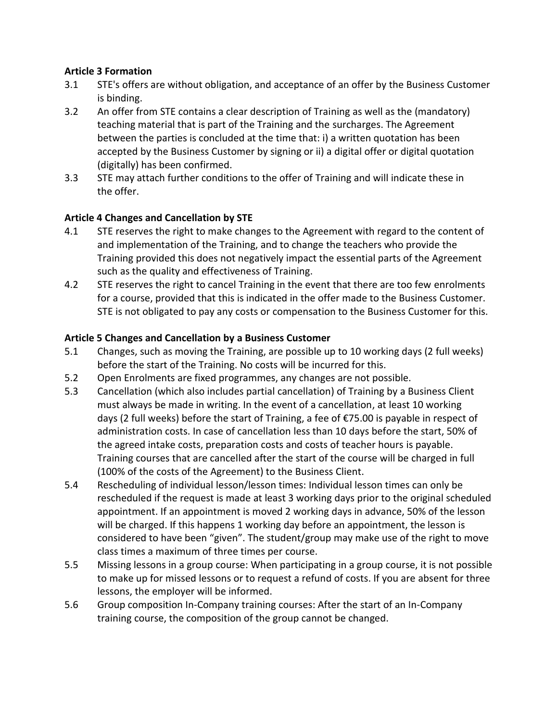## **Article 3 Formation**

- 3.1 STE's offers are without obligation, and acceptance of an offer by the Business Customer is binding.
- 3.2 An offer from STE contains a clear description of Training as well as the (mandatory) teaching material that is part of the Training and the surcharges. The Agreement between the parties is concluded at the time that: i) a written quotation has been accepted by the Business Customer by signing or ii) a digital offer or digital quotation (digitally) has been confirmed.
- 3.3 STE may attach further conditions to the offer of Training and will indicate these in the offer.

## **Article 4 Changes and Cancellation by STE**

- 4.1 STE reserves the right to make changes to the Agreement with regard to the content of and implementation of the Training, and to change the teachers who provide the Training provided this does not negatively impact the essential parts of the Agreement such as the quality and effectiveness of Training.
- 4.2 STE reserves the right to cancel Training in the event that there are too few enrolments for a course, provided that this is indicated in the offer made to the Business Customer. STE is not obligated to pay any costs or compensation to the Business Customer for this.

#### **Article 5 Changes and Cancellation by a Business Customer**

- 5.1 Changes, such as moving the Training, are possible up to 10 working days (2 full weeks) before the start of the Training. No costs will be incurred for this.
- 5.2 Open Enrolments are fixed programmes, any changes are not possible.
- 5.3 Cancellation (which also includes partial cancellation) of Training by a Business Client must always be made in writing. In the event of a cancellation, at least 10 working days (2 full weeks) before the start of Training, a fee of €75.00 is payable in respect of administration costs. In case of cancellation less than 10 days before the start, 50% of the agreed intake costs, preparation costs and costs of teacher hours is payable. Training courses that are cancelled after the start of the course will be charged in full (100% of the costs of the Agreement) to the Business Client.
- 5.4 Rescheduling of individual lesson/lesson times: Individual lesson times can only be rescheduled if the request is made at least 3 working days prior to the original scheduled appointment. If an appointment is moved 2 working days in advance, 50% of the lesson will be charged. If this happens 1 working day before an appointment, the lesson is considered to have been "given". The student/group may make use of the right to move class times a maximum of three times per course.
- 5.5 Missing lessons in a group course: When participating in a group course, it is not possible to make up for missed lessons or to request a refund of costs. If you are absent for three lessons, the employer will be informed.
- 5.6 Group composition In-Company training courses: After the start of an In-Company training course, the composition of the group cannot be changed.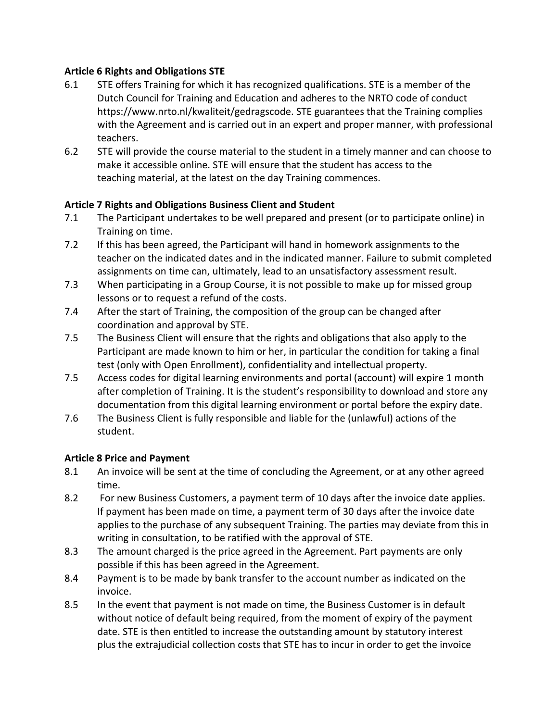## **Article 6 Rights and Obligations STE**

- 6.1 STE offers Training for which it has recognized qualifications. STE is a member of the Dutch Council for Training and Education and adheres to the NRTO code of conduct https://www.nrto.nl/kwaliteit/gedragscode. STE guarantees that the Training complies with the Agreement and is carried out in an expert and proper manner, with professional teachers.
- 6.2 STE will provide the course material to the student in a timely manner and can choose to make it accessible online. STE will ensure that the student has access to the teaching material, at the latest on the day Training commences.

# **Article 7 Rights and Obligations Business Client and Student**

- 7.1 The Participant undertakes to be well prepared and present (or to participate online) in Training on time.
- 7.2 If this has been agreed, the Participant will hand in homework assignments to the teacher on the indicated dates and in the indicated manner. Failure to submit completed assignments on time can, ultimately, lead to an unsatisfactory assessment result.
- 7.3 When participating in a Group Course, it is not possible to make up for missed group lessons or to request a refund of the costs.
- 7.4 After the start of Training, the composition of the group can be changed after coordination and approval by STE.
- 7.5 The Business Client will ensure that the rights and obligations that also apply to the Participant are made known to him or her, in particular the condition for taking a final test (only with Open Enrollment), confidentiality and intellectual property.
- 7.5 Access codes for digital learning environments and portal (account) will expire 1 month after completion of Training. It is the student's responsibility to download and store any documentation from this digital learning environment or portal before the expiry date.
- 7.6 The Business Client is fully responsible and liable for the (unlawful) actions of the student.

## **Article 8 Price and Payment**

- 8.1 An invoice will be sent at the time of concluding the Agreement, or at any other agreed time.
- 8.2 For new Business Customers, a payment term of 10 days after the invoice date applies. If payment has been made on time, a payment term of 30 days after the invoice date applies to the purchase of any subsequent Training. The parties may deviate from this in writing in consultation, to be ratified with the approval of STE.
- 8.3 The amount charged is the price agreed in the Agreement. Part payments are only possible if this has been agreed in the Agreement.
- 8.4 Payment is to be made by bank transfer to the account number as indicated on the invoice.
- 8.5 In the event that payment is not made on time, the Business Customer is in default without notice of default being required, from the moment of expiry of the payment date. STE is then entitled to increase the outstanding amount by statutory interest plus the extrajudicial collection costs that STE has to incur in order to get the invoice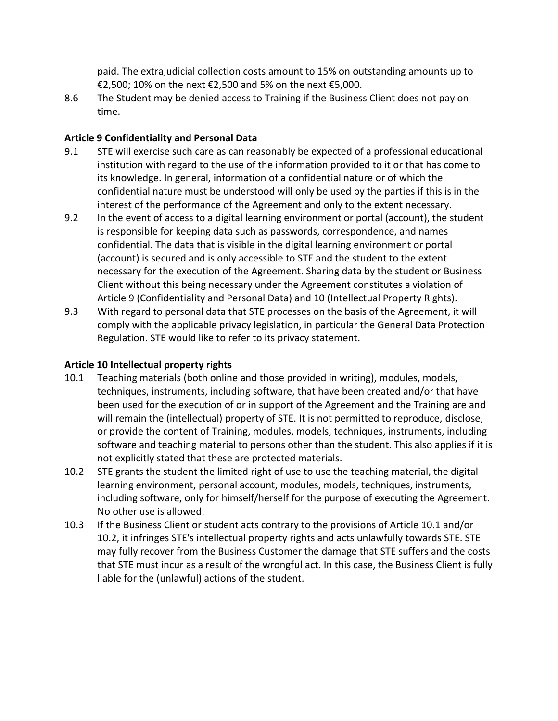paid. The extrajudicial collection costs amount to 15% on outstanding amounts up to €2,500; 10% on the next €2,500 and 5% on the next €5,000.

8.6 The Student may be denied access to Training if the Business Client does not pay on time.

### **Article 9 Confidentiality and Personal Data**

- 9.1 STE will exercise such care as can reasonably be expected of a professional educational institution with regard to the use of the information provided to it or that has come to its knowledge. In general, information of a confidential nature or of which the confidential nature must be understood will only be used by the parties if this is in the interest of the performance of the Agreement and only to the extent necessary.
- 9.2 In the event of access to a digital learning environment or portal (account), the student is responsible for keeping data such as passwords, correspondence, and names confidential. The data that is visible in the digital learning environment or portal (account) is secured and is only accessible to STE and the student to the extent necessary for the execution of the Agreement. Sharing data by the student or Business Client without this being necessary under the Agreement constitutes a violation of Article 9 (Confidentiality and Personal Data) and 10 (Intellectual Property Rights).
- 9.3 With regard to personal data that STE processes on the basis of the Agreement, it will comply with the applicable privacy legislation, in particular the General Data Protection Regulation. STE would like to refer to its privacy statement.

### **Article 10 Intellectual property rights**

- 10.1 Teaching materials (both online and those provided in writing), modules, models, techniques, instruments, including software, that have been created and/or that have been used for the execution of or in support of the Agreement and the Training are and will remain the (intellectual) property of STE. It is not permitted to reproduce, disclose, or provide the content of Training, modules, models, techniques, instruments, including software and teaching material to persons other than the student. This also applies if it is not explicitly stated that these are protected materials.
- 10.2 STE grants the student the limited right of use to use the teaching material, the digital learning environment, personal account, modules, models, techniques, instruments, including software, only for himself/herself for the purpose of executing the Agreement. No other use is allowed.
- 10.3 If the Business Client or student acts contrary to the provisions of Article 10.1 and/or 10.2, it infringes STE's intellectual property rights and acts unlawfully towards STE. STE may fully recover from the Business Customer the damage that STE suffers and the costs that STE must incur as a result of the wrongful act. In this case, the Business Client is fully liable for the (unlawful) actions of the student.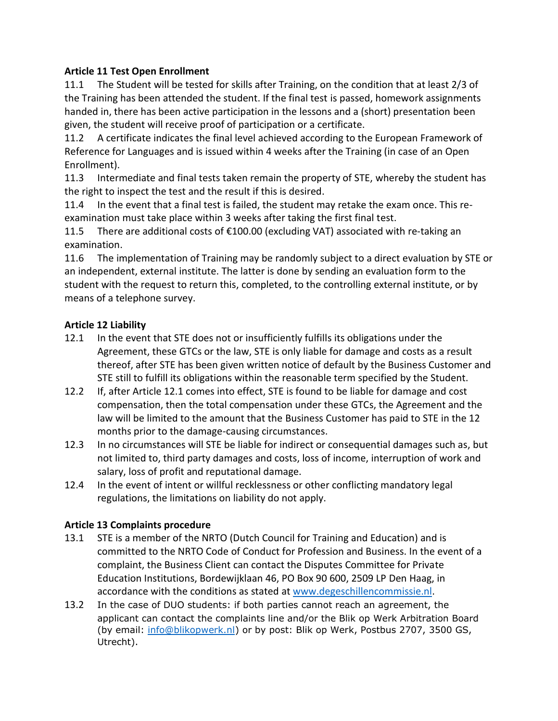# **Article 11 Test Open Enrollment**

11.1 The Student will be tested for skills after Training, on the condition that at least 2/3 of the Training has been attended the student. If the final test is passed, homework assignments handed in, there has been active participation in the lessons and a (short) presentation been given, the student will receive proof of participation or a certificate.

11.2 A certificate indicates the final level achieved according to the European Framework of Reference for Languages and is issued within 4 weeks after the Training (in case of an Open Enrollment).

11.3 Intermediate and final tests taken remain the property of STE, whereby the student has the right to inspect the test and the result if this is desired.

11.4 In the event that a final test is failed, the student may retake the exam once. This reexamination must take place within 3 weeks after taking the first final test.

11.5 There are additional costs of €100.00 (excluding VAT) associated with re-taking an examination.

11.6 The implementation of Training may be randomly subject to a direct evaluation by STE or an independent, external institute. The latter is done by sending an evaluation form to the student with the request to return this, completed, to the controlling external institute, or by means of a telephone survey.

# **Article 12 Liability**

- 12.1 In the event that STE does not or insufficiently fulfills its obligations under the Agreement, these GTCs or the law, STE is only liable for damage and costs as a result thereof, after STE has been given written notice of default by the Business Customer and STE still to fulfill its obligations within the reasonable term specified by the Student.
- 12.2 If, after Article 12.1 comes into effect, STE is found to be liable for damage and cost compensation, then the total compensation under these GTCs, the Agreement and the law will be limited to the amount that the Business Customer has paid to STE in the 12 months prior to the damage-causing circumstances.
- 12.3 In no circumstances will STE be liable for indirect or consequential damages such as, but not limited to, third party damages and costs, loss of income, interruption of work and salary, loss of profit and reputational damage.
- 12.4 In the event of intent or willful recklessness or other conflicting mandatory legal regulations, the limitations on liability do not apply.

## **Article 13 Complaints procedure**

- 13.1 STE is a member of the NRTO (Dutch Council for Training and Education) and is committed to the NRTO Code of Conduct for Profession and Business. In the event of a complaint, the Business Client can contact the Disputes Committee for Private Education Institutions, Bordewijklaan 46, PO Box 90 600, 2509 LP Den Haag, in accordance with the conditions as stated at [www.degeschillencommissie.nl.](http://www.degeschillencommissie.nl/)
- 13.2 In the case of DUO students: if both parties cannot reach an agreement, the applicant can contact the complaints line and/or the Blik op Werk Arbitration Board (by email: [info@blikopwerk.nl\)](mailto:info@blikopwerk.nl) or by post: Blik op Werk, Postbus 2707, 3500 GS, Utrecht).